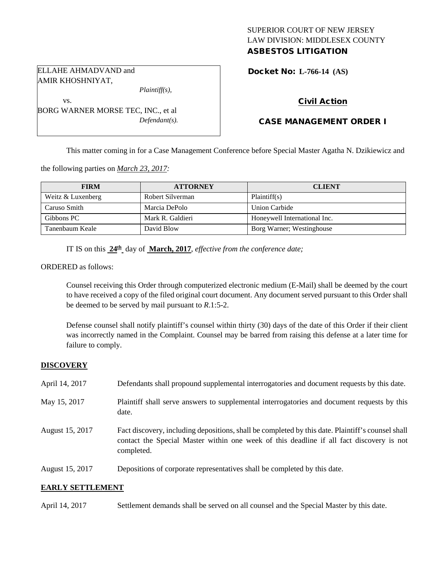## SUPERIOR COURT OF NEW JERSEY LAW DIVISION: MIDDLESEX COUNTY ASBESTOS LITIGATION

Docket No: **L-766-14 (AS)** 

ELLAHE AHMADVAND and AMIR KHOSHNIYAT,

vs.

*Plaintiff(s),*

*Defendant(s).*

Civil Action

# CASE MANAGEMENT ORDER I

This matter coming in for a Case Management Conference before Special Master Agatha N. Dzikiewicz and

the following parties on *March 23, 2017:*

BORG WARNER MORSE TEC, INC., et al

| <b>FIRM</b>       | <b>ATTORNEY</b>  | <b>CLIENT</b>                |
|-------------------|------------------|------------------------------|
| Weitz & Luxenberg | Robert Silverman | Plaintiff(s)                 |
| Caruso Smith      | Marcia DePolo    | Union Carbide                |
| Gibbons PC        | Mark R. Galdieri | Honeywell International Inc. |
| Tanenbaum Keale   | David Blow       | Borg Warner; Westinghouse    |

IT IS on this **24th** day of **March, 2017**, *effective from the conference date;*

ORDERED as follows:

Counsel receiving this Order through computerized electronic medium (E-Mail) shall be deemed by the court to have received a copy of the filed original court document. Any document served pursuant to this Order shall be deemed to be served by mail pursuant to *R*.1:5-2.

Defense counsel shall notify plaintiff's counsel within thirty (30) days of the date of this Order if their client was incorrectly named in the Complaint. Counsel may be barred from raising this defense at a later time for failure to comply.

#### **DISCOVERY**

| April 14, 2017  | Defendants shall propound supplemental interrogatories and document requests by this date.                                                                                                                  |
|-----------------|-------------------------------------------------------------------------------------------------------------------------------------------------------------------------------------------------------------|
| May 15, 2017    | Plaintiff shall serve answers to supplemental interrogatories and document requests by this<br>date.                                                                                                        |
| August 15, 2017 | Fact discovery, including depositions, shall be completed by this date. Plaintiff's counsel shall<br>contact the Special Master within one week of this deadline if all fact discovery is not<br>completed. |
| August 15, 2017 | Depositions of corporate representatives shall be completed by this date.                                                                                                                                   |

#### **EARLY SETTLEMENT**

April 14, 2017 Settlement demands shall be served on all counsel and the Special Master by this date.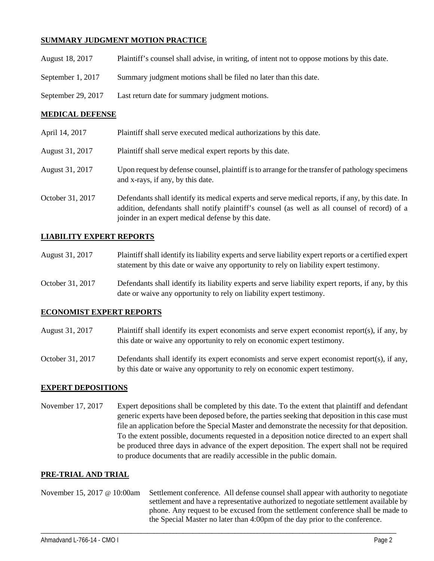# **SUMMARY JUDGMENT MOTION PRACTICE**

| August 18, 2017    | Plaintiff's counsel shall advise, in writing, of intent not to oppose motions by this date. |
|--------------------|---------------------------------------------------------------------------------------------|
| September 1, 2017  | Summary judgment motions shall be filed no later than this date.                            |
| September 29, 2017 | Last return date for summary judgment motions.                                              |

### **MEDICAL DEFENSE**

| April 14, 2017   | Plaintiff shall serve executed medical authorizations by this date.                                                                                                                                                                                      |
|------------------|----------------------------------------------------------------------------------------------------------------------------------------------------------------------------------------------------------------------------------------------------------|
| August 31, 2017  | Plaintiff shall serve medical expert reports by this date.                                                                                                                                                                                               |
| August 31, 2017  | Upon request by defense counsel, plaintiff is to arrange for the transfer of pathology specimens<br>and x-rays, if any, by this date.                                                                                                                    |
| October 31, 2017 | Defendants shall identify its medical experts and serve medical reports, if any, by this date. In<br>addition, defendants shall notify plaintiff's counsel (as well as all counsel of record) of a<br>joinder in an expert medical defense by this date. |

#### **LIABILITY EXPERT REPORTS**

| August 31, 2017 | Plaintiff shall identify its liability experts and serve liability expert reports or a certified expert |
|-----------------|---------------------------------------------------------------------------------------------------------|
|                 | statement by this date or waive any opportunity to rely on liability expert testimony.                  |

October 31, 2017 Defendants shall identify its liability experts and serve liability expert reports, if any, by this date or waive any opportunity to rely on liability expert testimony.

# **ECONOMIST EXPERT REPORTS**

- August 31, 2017 Plaintiff shall identify its expert economists and serve expert economist report(s), if any, by this date or waive any opportunity to rely on economic expert testimony.
- October 31, 2017 Defendants shall identify its expert economists and serve expert economist report(s), if any, by this date or waive any opportunity to rely on economic expert testimony.

## **EXPERT DEPOSITIONS**

November 17, 2017 Expert depositions shall be completed by this date. To the extent that plaintiff and defendant generic experts have been deposed before, the parties seeking that deposition in this case must file an application before the Special Master and demonstrate the necessity for that deposition. To the extent possible, documents requested in a deposition notice directed to an expert shall be produced three days in advance of the expert deposition. The expert shall not be required to produce documents that are readily accessible in the public domain.

#### **PRE-TRIAL AND TRIAL**

November 15, 2017 @ 10:00am Settlement conference. All defense counsel shall appear with authority to negotiate settlement and have a representative authorized to negotiate settlement available by phone. Any request to be excused from the settlement conference shall be made to the Special Master no later than 4:00pm of the day prior to the conference.

\_\_\_\_\_\_\_\_\_\_\_\_\_\_\_\_\_\_\_\_\_\_\_\_\_\_\_\_\_\_\_\_\_\_\_\_\_\_\_\_\_\_\_\_\_\_\_\_\_\_\_\_\_\_\_\_\_\_\_\_\_\_\_\_\_\_\_\_\_\_\_\_\_\_\_\_\_\_\_\_\_\_\_\_\_\_\_\_\_\_\_\_\_\_\_\_\_\_\_\_\_\_\_\_\_\_\_\_\_\_